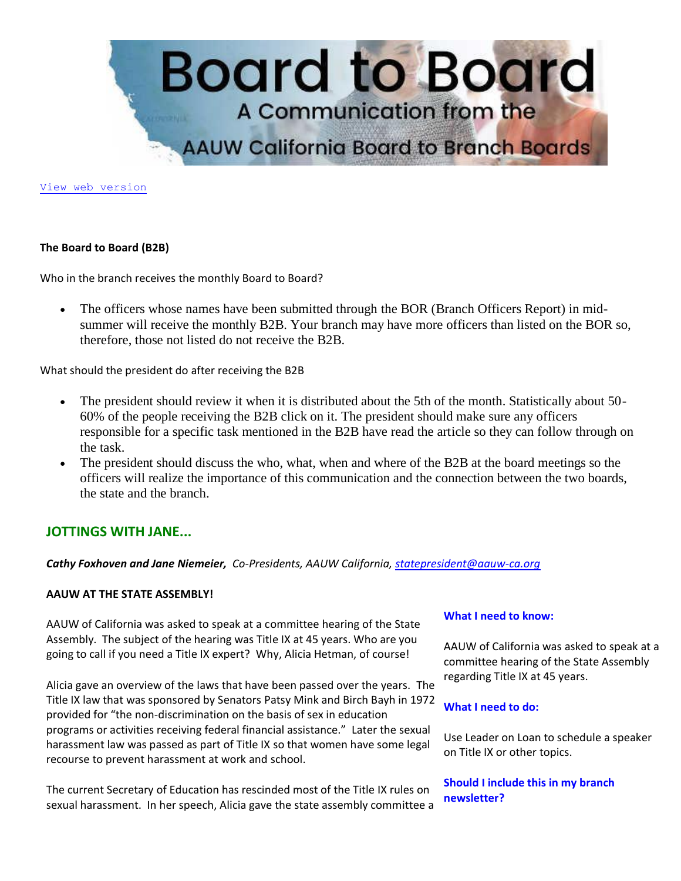

[View web version](https://bor.aauw-ca.org/sendy/w/892gXlZMwuh6whZzqOOMz1og)

## **The Board to Board (B2B)**

Who in the branch receives the monthly Board to Board?

• The officers whose names have been submitted through the BOR (Branch Officers Report) in midsummer will receive the monthly B2B. Your branch may have more officers than listed on the BOR so, therefore, those not listed do not receive the B2B.

What should the president do after receiving the B2B

- The president should review it when it is distributed about the 5th of the month. Statistically about 50-60% of the people receiving the B2B click on it. The president should make sure any officers responsible for a specific task mentioned in the B2B have read the article so they can follow through on the task.
- The president should discuss the who, what, when and where of the B2B at the board meetings so the officers will realize the importance of this communication and the connection between the two boards, the state and the branch.

# **JOTTINGS WITH JANE...**

*Cathy Foxhoven and Jane Niemeier, Co-Presidents, AAUW California, [statepresident@aauw-ca.org](mailto:statepresident@aauw-ca.org)*

## **AAUW AT THE STATE ASSEMBLY!**

AAUW of California was asked to speak at a committee hearing of the State Assembly. The subject of the hearing was Title IX at 45 years. Who are you going to call if you need a Title IX expert? Why, Alicia Hetman, of course!

Alicia gave an overview of the laws that have been passed over the years. The Title IX law that was sponsored by Senators Patsy Mink and Birch Bayh in 1972 provided for "the non-discrimination on the basis of sex in education programs or activities receiving federal financial assistance." Later the sexual harassment law was passed as part of Title IX so that women have some legal recourse to prevent harassment at work and school.

The current Secretary of Education has rescinded most of the Title IX rules on sexual harassment. In her speech, Alicia gave the state assembly committee a

#### **What I need to know:**

AAUW of California was asked to speak at a committee hearing of the State Assembly regarding Title IX at 45 years.

#### **What I need to do:**

Use Leader on Loan to schedule a speaker on Title IX or other topics.

**Should I include this in my branch newsletter?**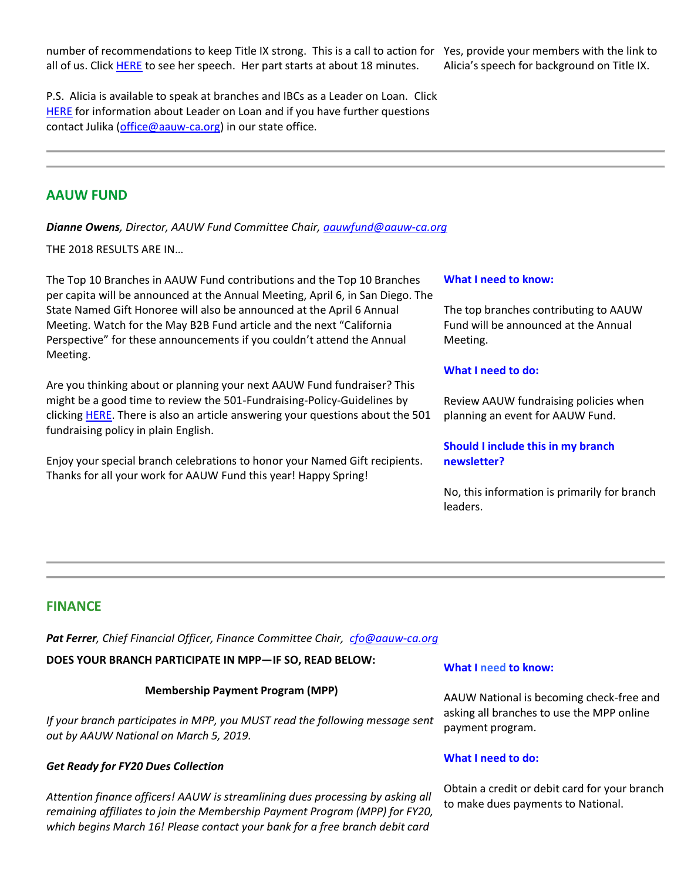number of recommendations to keep Title IX strong. This is a call to action for Yes, provide your members with the link to all of us. Click **HERE** to see her speech. Her part starts at about 18 minutes. Alicia's speech for background on Title IX.

P.S. Alicia is available to speak at branches and IBCs as a Leader on Loan. Click [HERE](http://www.aauw-ca.org/leader-on-loan/) for information about Leader on Loan and if you have further questions contact Julika [\(office@aauw-ca.org\)](mailto:office@aauw-ca.org) in our state office.

# **AAUW FUND**

*Dianne Owens, Director, AAUW Fund Committee Chair, [aauwfund@aauw-ca.org](mailto:aauwfund@aauw-ca.org)*

THE 2018 RESULTS ARE IN…

The Top 10 Branches in AAUW Fund contributions and the Top 10 Branches per capita will be announced at the Annual Meeting, April 6, in San Diego. The State Named Gift Honoree will also be announced at the April 6 Annual Meeting. Watch for the May B2B Fund article and the next "California Perspective" for these announcements if you couldn't attend the Annual Meeting.

Are you thinking about or planning your next AAUW Fund fundraiser? This might be a good time to review the 501-Fundraising-Policy-Guidelines by clicking **HERE**. There is also an article answering your questions about the 501 fundraising policy in plain English.

Enjoy your special branch celebrations to honor your Named Gift recipients. Thanks for all your work for AAUW Fund this year! Happy Spring!

#### **What I need to know:**

The top branches contributing to AAUW Fund will be announced at the Annual Meeting.

#### **What I need to do:**

Review AAUW fundraising policies when planning an event for AAUW Fund.

## **Should I include this in my branch newsletter?**

No, this information is primarily for branch leaders.

## **FINANCE**

*Pat Ferrer, Chief Financial Officer, Finance Committee Chair, [cfo@aauw-ca.org](mailto:cfo@aauw-ca.org)*

### **DOES YOUR BRANCH PARTICIPATE IN MPP—IF SO, READ BELOW:**

#### **Membership Payment Program (MPP)**

*If your branch participates in MPP, you MUST read the following message sent out by AAUW National on March 5, 2019.* 

#### *Get Ready for FY20 Dues Collection*

*Attention finance officers! AAUW is streamlining dues processing by asking all remaining affiliates to join the Membership Payment Program (MPP) for FY20, which begins March 16! Please contact your bank for a free branch debit card* 

#### **What I need to know:**

AAUW National is becoming check-free and asking all branches to use the MPP online payment program.

#### **What I need to do:**

Obtain a credit or debit card for your branch to make dues payments to National.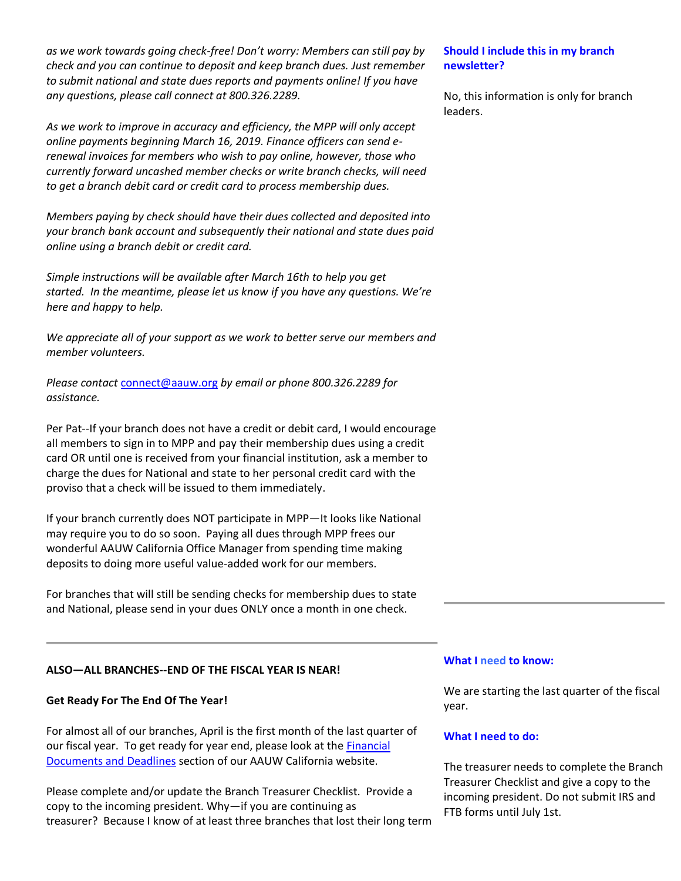*as we work towards going check-free! Don't worry: Members can still pay by check and you can continue to deposit and keep branch dues. Just remember to submit national and state dues reports and payments online! If you have any questions, please call connect at 800.326.2289.*

*As we work to improve in accuracy and efficiency, the MPP will only accept online payments beginning March 16, 2019. Finance officers can send erenewal invoices for members who wish to pay online, however, those who currently forward uncashed member checks or write branch checks, will need to get a branch debit card or credit card to process membership dues.* 

*Members paying by check should have their dues collected and deposited into your branch bank account and subsequently their national and state dues paid online using a branch debit or credit card.*

*Simple instructions will be available after March 16th to help you get started. In the meantime, please let us know if you have any questions. We're here and happy to help.*

*We appreciate all of your support as we work to better serve our members and member volunteers.*

*Please contact* [connect@aauw.org](mailto:connect@aauw.org) *by email or phone 800.326.2289 for assistance.*

Per Pat--If your branch does not have a credit or debit card, I would encourage all members to sign in to MPP and pay their membership dues using a credit card OR until one is received from your financial institution, ask a member to charge the dues for National and state to her personal credit card with the proviso that a check will be issued to them immediately.

If your branch currently does NOT participate in MPP—It looks like National may require you to do so soon. Paying all dues through MPP frees our wonderful AAUW California Office Manager from spending time making deposits to doing more useful value-added work for our members.

For branches that will still be sending checks for membership dues to state and National, please send in your dues ONLY once a month in one check.

## **ALSO—ALL BRANCHES--END OF THE FISCAL YEAR IS NEAR!**

## **Get Ready For The End Of The Year!**

For almost all of our branches, April is the first month of the last quarter of our fiscal year. To get ready for year end, please look at the **Financial** [Documents and Deadlines](http://www.aauw-ca.org/financial-documents-deadlines/) section of our AAUW California website.

Please complete and/or update the Branch Treasurer Checklist. Provide a copy to the incoming president. Why—if you are continuing as treasurer? Because I know of at least three branches that lost their long term

## **Should I include this in my branch newsletter?**

No, this information is only for branch leaders.

#### **What I need to know:**

We are starting the last quarter of the fiscal year.

#### **What I need to do:**

The treasurer needs to complete the Branch Treasurer Checklist and give a copy to the incoming president. Do not submit IRS and FTB forms until July 1st.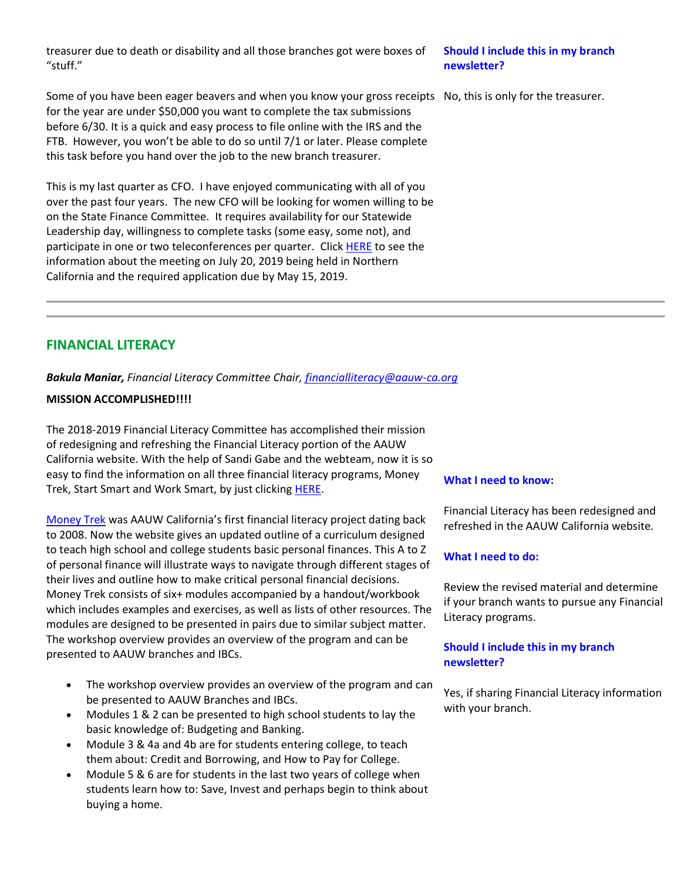treasurer due to death or disability and all those branches got were boxes of "stuff."

Some of you have been eager beavers and when you know your gross receipts No, this is only for the treasurer. for the year are under \$50,000 you want to complete the tax submissions before 6/30. It is a quick and easy process to file online with the IRS and the FTB. However, you won't be able to do so until 7/1 or later. Please complete this task before you hand over the job to the new branch treasurer.

This is my last quarter as CFO. I have enjoyed communicating with all of you over the past four years. The new CFO will be looking for women willing to be on the State Finance Committee. It requires availability for our Statewide Leadership day, willingness to complete tasks (some easy, some not), and participate in one or two teleconferences per quarter. Click [HERE](http://www.aauw-ca.org/join-aauw-california-leadership-team/) to see the information about the meeting on July 20, 2019 being held in Northern California and the required application due by May 15, 2019.

## **Should I include this in my branch newsletter?**

# **FINANCIAL LITERACY**

## *Bakula Maniar, Financial Literacy Committee Chair, [financialliteracy@aauw-ca.org](mailto:financialliteracy@aauw-ca.org)*

### **MISSION ACCOMPLISHED!!!!**

The 2018-2019 Financial Literacy Committee has accomplished their mission of redesigning and refreshing the Financial Literacy portion of the AAUW California website. With the help of Sandi Gabe and the webteam, now it is so easy to find the information on all three financial literacy programs, Money Trek, Start Smart and Work Smart, by just clicking [HERE.](http://www.aauw-ca.org/programs-projects-education/)

[Money Trek](http://www.aauw-ca.org/money-trek-workshop/) was AAUW California's first financial literacy project dating back to 2008. Now the website gives an updated outline of a curriculum designed to teach high school and college students basic personal finances. This A to Z of personal finance will illustrate ways to navigate through different stages of their lives and outline how to make critical personal financial decisions. Money Trek consists of six+ modules accompanied by a handout/workbook which includes examples and exercises, as well as lists of other resources. The modules are designed to be presented in pairs due to similar subject matter. The workshop overview provides an overview of the program and can be presented to AAUW branches and IBCs.

- The workshop overview provides an overview of the program and can be presented to AAUW Branches and IBCs.
- Modules 1 & 2 can be presented to high school students to lay the basic knowledge of: Budgeting and Banking.
- Module 3 & 4a and 4b are for students entering college, to teach them about: Credit and Borrowing, and How to Pay for College.
- Module 5 & 6 are for students in the last two years of college when students learn how to: Save, Invest and perhaps begin to think about buying a home.

#### **What I need to know:**

Financial Literacy has been redesigned and refreshed in the AAUW California website.

## **What I need to do:**

Review the revised material and determine if your branch wants to pursue any Financial Literacy programs.

## **Should I include this in my branch newsletter?**

Yes, if sharing Financial Literacy information with your branch.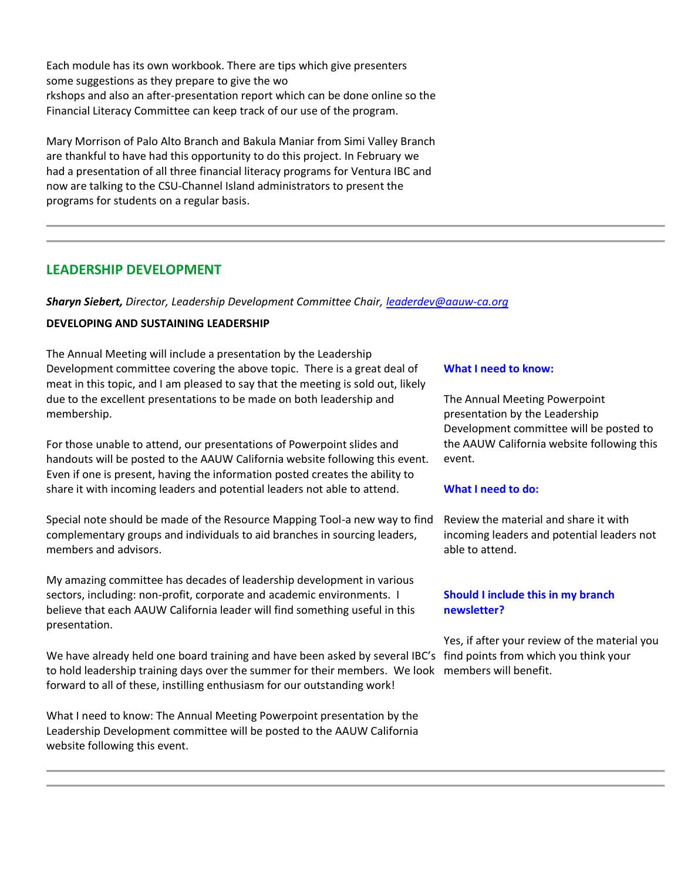Each module has its own workbook. There are tips which give presenters some suggestions as they prepare to give the wo rkshops and also an after-presentation report which can be done online so the Financial Literacy Committee can keep track of our use of the program.

Mary Morrison of Palo Alto Branch and Bakula Maniar from Simi Valley Branch are thankful to have had this opportunity to do this project. In February we had a presentation of all three financial literacy programs for Ventura IBC and now are talking to the CSU-Channel Island administrators to present the programs for students on a regular basis.

# **LEADERSHIP DEVELOPMENT**

## *Sharyn Siebert, Director, Leadership Development Committee Chair, [leaderdev@aauw-ca.org](mailto:leaderdev@aauw-ca.org)*

## **DEVELOPING AND SUSTAINING LEADERSHIP**

The Annual Meeting will include a presentation by the Leadership Development committee covering the above topic. There is a great deal of meat in this topic, and I am pleased to say that the meeting is sold out, likely due to the excellent presentations to be made on both leadership and membership.

For those unable to attend, our presentations of Powerpoint slides and handouts will be posted to the AAUW California website following this event. Even if one is present, having the information posted creates the ability to share it with incoming leaders and potential leaders not able to attend.

Special note should be made of the Resource Mapping Tool-a new way to find complementary groups and individuals to aid branches in sourcing leaders, members and advisors.

My amazing committee has decades of leadership development in various sectors, including: non-profit, corporate and academic environments. I believe that each AAUW California leader will find something useful in this presentation.

We have already held one board training and have been asked by several IBC's find points from which you think your to hold leadership training days over the summer for their members. We look members will benefit.forward to all of these, instilling enthusiasm for our outstanding work!

What I need to know: The Annual Meeting Powerpoint presentation by the Leadership Development committee will be posted to the AAUW California website following this event.

### **What I need to know:**

The Annual Meeting Powerpoint presentation by the Leadership Development committee will be posted to the AAUW California website following this event.

## **What I need to do:**

Review the material and share it with incoming leaders and potential leaders not able to attend.

## **Should I include this in my branch newsletter?**

Yes, if after your review of the material you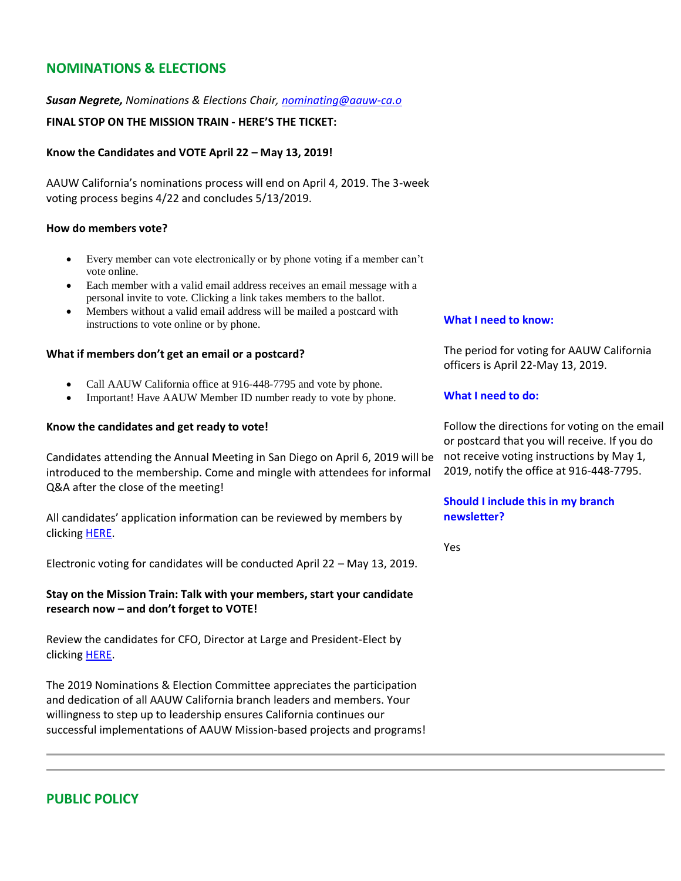# **NOMINATIONS & ELECTIONS**

#### *Susan Negrete, Nominations & Elections Chair, [nominating@aauw-ca.o](mailto:nominating@aauw-ca.org)*

### **FINAL STOP ON THE MISSION TRAIN - HERE'S THE TICKET:**

#### **Know the Candidates and VOTE April 22 – May 13, 2019!**

AAUW California's nominations process will end on April 4, 2019. The 3-week voting process begins 4/22 and concludes 5/13/2019.

#### **How do members vote?**

- Every member can vote electronically or by phone voting if a member can't vote online.
- Each member with a valid email address receives an email message with a personal invite to vote. Clicking a link takes members to the ballot.
- Members without a valid email address will be mailed a postcard with instructions to vote online or by phone.

#### **What if members don't get an email or a postcard?**

- Call AAUW California office at 916-448-7795 and vote by phone.
- Important! Have AAUW Member ID number ready to vote by phone.

#### **Know the candidates and get ready to vote!**

Candidates attending the Annual Meeting in San Diego on April 6, 2019 will be introduced to the membership. Come and mingle with attendees for informal Q&A after the close of the meeting!

All candidates' application information can be reviewed by members by clicking [HERE.](http://www.aauw-ca.org/2019-candidates/)

Electronic voting for candidates will be conducted April 22 – May 13, 2019.

## **Stay on the Mission Train: Talk with your members, start your candidate research now – and don't forget to VOTE!**

Review the candidates for CFO, Director at Large and President-Elect by clicking [HERE.](http://www.aauw-ca.org/2019-candidates/)

The 2019 Nominations & Election Committee appreciates the participation and dedication of all AAUW California branch leaders and members. Your willingness to step up to leadership ensures California continues our successful implementations of AAUW Mission-based projects and programs!

#### **What I need to know:**

The period for voting for AAUW California officers is April 22-May 13, 2019.

#### **What I need to do:**

Follow the directions for voting on the email or postcard that you will receive. If you do not receive voting instructions by May 1, 2019, notify the office at 916-448-7795.

### **Should I include this in my branch newsletter?**

Yes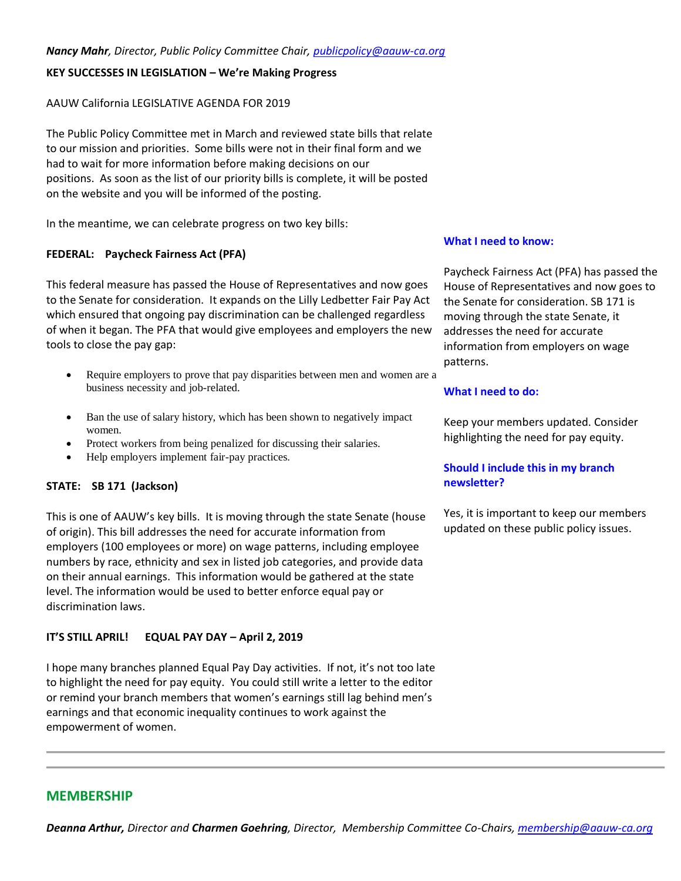### **KEY SUCCESSES IN LEGISLATION – We're Making Progress**

AAUW California LEGISLATIVE AGENDA FOR 2019

The Public Policy Committee met in March and reviewed state bills that relate to our mission and priorities. Some bills were not in their final form and we had to wait for more information before making decisions on our positions. As soon as the list of our priority bills is complete, it will be posted on the website and you will be informed of the posting.

In the meantime, we can celebrate progress on two key bills:

### **FEDERAL: Paycheck Fairness Act (PFA)**

This federal measure has passed the House of Representatives and now goes to the Senate for consideration. It expands on the Lilly Ledbetter Fair Pay Act which ensured that ongoing pay discrimination can be challenged regardless of when it began. The PFA that would give employees and employers the new tools to close the pay gap:

- Require employers to prove that pay disparities between men and women are a business necessity and job-related.
- Ban the use of salary history, which has been shown to negatively impact women.
- Protect workers from being penalized for discussing their salaries.
- Help employers implement fair-pay practices.

## **STATE: SB 171 (Jackson)**

This is one of AAUW's key bills. It is moving through the state Senate (house of origin). This bill addresses the need for accurate information from employers (100 employees or more) on wage patterns, including employee numbers by race, ethnicity and sex in listed job categories, and provide data on their annual earnings. This information would be gathered at the state level. The information would be used to better enforce equal pay or discrimination laws.

#### **IT'S STILL APRIL! EQUAL PAY DAY – April 2, 2019**

I hope many branches planned Equal Pay Day activities. If not, it's not too late to highlight the need for pay equity. You could still write a letter to the editor or remind your branch members that women's earnings still lag behind men's earnings and that economic inequality continues to work against the empowerment of women.

### **What I need to know:**

Paycheck Fairness Act (PFA) has passed the House of Representatives and now goes to the Senate for consideration. SB 171 is moving through the state Senate, it addresses the need for accurate information from employers on wage patterns.

### **What I need to do:**

Keep your members updated. Consider highlighting the need for pay equity.

## **Should I include this in my branch newsletter?**

Yes, it is important to keep our members updated on these public policy issues.

## **MEMBERSHIP**

*Deanna Arthur, Director and Charmen Goehring, Director, Membership Committee Co-Chairs[, membership@aauw-ca.org](mailto:membership@aauw-ca.org)*